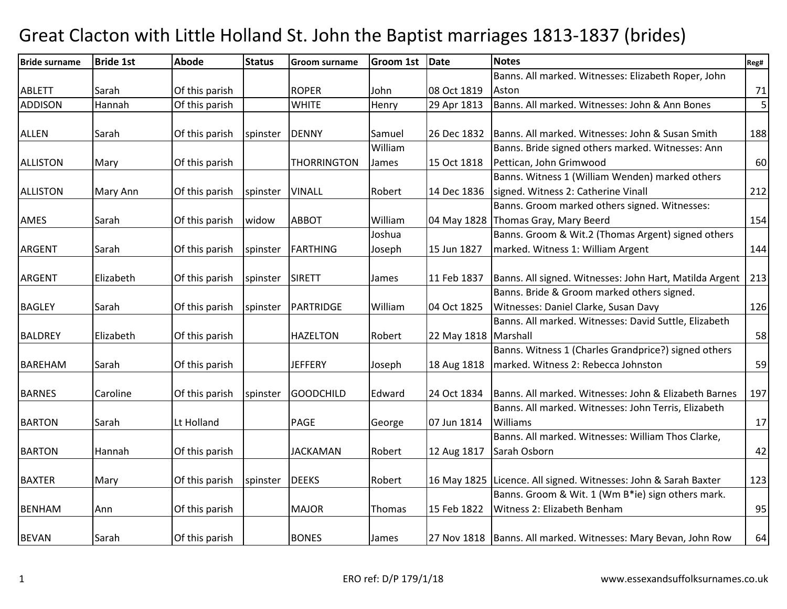#### Bride surnameBride 1st | Abode e Status Groom surname Groom 1st Date Notes Reg# ABLETT Sarah Of this parish ROPER John 08 Oct 1819 29 Apr 1813 Banns. All marked. Witnesses: Elizabeth Roper, John Aston 71 5 ADDISON Hannah Of this parish WHITE Henry 29 Apr 1813 Banns. All marked. Witnesses: John & Ann Bones <sup>5</sup> ALLEN Sarah 10f this parish Spinster DENNY Samuel 26 Dec 1832 26 Dec 1832 Banns. All marked. Witnesses: John & Susan Smith <sup>188</sup> ALLISTON | Mary | Of this parish | THORRINGTON William James 15 Oct 1818Banns. Bride signed others marked. Witnesses: Ann Pettican, John Grimwoodd 60 ALLISTON Mary Ann Of this parish Spinster VINALL Robert 14 Dec 1836 Banns. Witness 1 (William Wenden) marked others signed. Witness 2: Catherine Vinall 212AMES Sarah **Of this parish widow ABBOT** William 04 May 1828 Banns. Groom marked others signed. Witnesses: Thomas Gray, Mary Beerdd 154 ARGENT Sarah | Of this parish Spinster | FARTHING Joshua Joseph 15 Jun 1827 Banns. Groom & Wit.2 (Thomas Argent) signed others marked. Witness 1: William Argentt 144 ARGENT Elizabeth Of this parish Spinster SIRETT James 11 Feb 1837 11 Feb 1837 | Banns. All signed. Witnesses: John Hart, Matilda Argent | 213 BAGLEY Sarah **Of this parish Spinster PARTRIDGE** William 04 Oct 1825 Banns. Bride & Groom marked others signed. Witnesses: Daniel Clarke, Susan Davyy 126 BALDREY Elizabeth Of this parish HAZELTON Robert 22 May 1818 Banns. All marked. Witnesses: David Suttle, Elizabeth**Marshall**  58BAREHAM Sarah **Of this parish JEFFERY** Joseph 18 Aug 1818 Banns. Witness 1 (Charles Grandprice?) signed othersmarked. Witness 2: Rebecca Johnstonn 59 BARNES | Caroline | Of this parish | spinster | GOODCHILD | Edward 24 Oct 1834 Banns. All marked. Witnesses: John & Elizabeth Barnes | 197 BARTON Sarah Lt Holland PAGE George 07 Jun 1814 Banns. All marked. Witnesses: John Terris, Elizabeth Williamss and  $\frac{17}{2}$ BARTON Hannah Of this parish JACKAMAN Robert 12 Aug 1817 Banns. All marked. Witnesses: William Thos Clarke, Sarah Osborn 1988 | 42 BAXTER Mary **Of this parish Spinster DEEKS** Robert 16 May 1825 16 May 1825 | Licence. All signed. Witnesses: John & Sarah Baxter | 123 BENHAM Ann Of this parish MAJOR Thomas 15 Feb 1822 Banns. Groom & Wit. 1 (Wm B\*ie) sign others mark. Witness 2: Elizabeth Benhamm 95 BEVAN Sarah | Of this parish | BONES | James | 27 Nov 1818 27 Nov 1818 | Banns. All marked. Witnesses: Mary Bevan, John Row <sup>64</sup>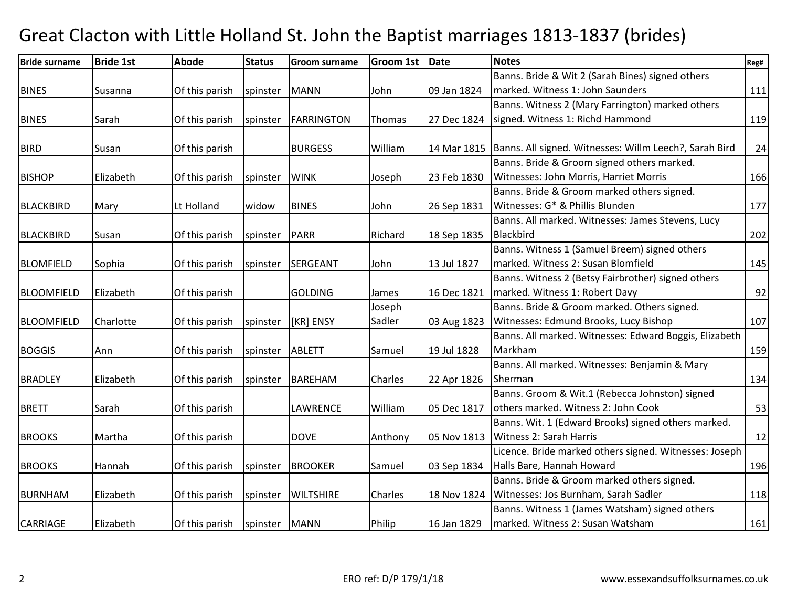| <b>Bride surname</b> | <b>Bride 1st</b> | <b>Abode</b>   | <b>Status</b> | <b>Groom surname</b> | <b>Groom 1st</b> | Date        | <b>Notes</b>                                           | Reg# |
|----------------------|------------------|----------------|---------------|----------------------|------------------|-------------|--------------------------------------------------------|------|
|                      |                  |                |               |                      |                  |             | Banns. Bride & Wit 2 (Sarah Bines) signed others       |      |
| <b>BINES</b>         | Susanna          | Of this parish | spinster      | <b>MANN</b>          | John             | 09 Jan 1824 | marked. Witness 1: John Saunders                       | 111  |
|                      |                  |                |               |                      |                  |             | Banns. Witness 2 (Mary Farrington) marked others       |      |
| <b>BINES</b>         | Sarah            | Of this parish | spinster      | <b>FARRINGTON</b>    | Thomas           | 27 Dec 1824 | signed. Witness 1: Richd Hammond                       | 119  |
|                      |                  |                |               |                      |                  |             |                                                        |      |
| <b>BIRD</b>          | Susan            | Of this parish |               | <b>BURGESS</b>       | William          | 14 Mar 1815 | Banns. All signed. Witnesses: Willm Leech?, Sarah Bird | 24   |
|                      |                  |                |               |                      |                  |             | Banns. Bride & Groom signed others marked.             |      |
| <b>BISHOP</b>        | Elizabeth        | Of this parish | spinster      | <b>WINK</b>          | Joseph           | 23 Feb 1830 | Witnesses: John Morris, Harriet Morris                 | 166  |
|                      |                  |                |               |                      |                  |             | Banns. Bride & Groom marked others signed.             |      |
| <b>BLACKBIRD</b>     | Mary             | Lt Holland     | widow         | <b>BINES</b>         | John             | 26 Sep 1831 | Witnesses: G* & Phillis Blunden                        | 177  |
|                      |                  |                |               |                      |                  |             | Banns. All marked. Witnesses: James Stevens, Lucy      |      |
| <b>BLACKBIRD</b>     | Susan            | Of this parish | spinster      | <b>PARR</b>          | Richard          | 18 Sep 1835 | Blackbird                                              | 202  |
|                      |                  |                |               |                      |                  |             | Banns. Witness 1 (Samuel Breem) signed others          |      |
| <b>BLOMFIELD</b>     | Sophia           | Of this parish | spinster      | SERGEANT             | John             | 13 Jul 1827 | marked. Witness 2: Susan Blomfield                     | 145  |
|                      |                  |                |               |                      |                  |             | Banns. Witness 2 (Betsy Fairbrother) signed others     |      |
| <b>BLOOMFIELD</b>    | Elizabeth        | Of this parish |               | <b>GOLDING</b>       | James            | 16 Dec 1821 | marked. Witness 1: Robert Davy                         | 92   |
|                      |                  |                |               |                      | Joseph           |             | Banns. Bride & Groom marked. Others signed.            |      |
| <b>BLOOMFIELD</b>    | Charlotte        | Of this parish | spinster      | [KR] ENSY            | Sadler           | 03 Aug 1823 | Witnesses: Edmund Brooks, Lucy Bishop                  | 107  |
|                      |                  |                |               |                      |                  |             | Banns. All marked. Witnesses: Edward Boggis, Elizabeth |      |
| <b>BOGGIS</b>        | Ann              | Of this parish | spinster      | <b>ABLETT</b>        | Samuel           | 19 Jul 1828 | Markham                                                | 159  |
|                      |                  |                |               |                      |                  |             | Banns. All marked. Witnesses: Benjamin & Mary          |      |
| <b>BRADLEY</b>       | Elizabeth        | Of this parish | spinster      | <b>BAREHAM</b>       | Charles          | 22 Apr 1826 | Sherman                                                | 134  |
|                      |                  |                |               |                      |                  |             | Banns. Groom & Wit.1 (Rebecca Johnston) signed         |      |
| <b>BRETT</b>         | Sarah            | Of this parish |               | LAWRENCE             | William          | 05 Dec 1817 | others marked. Witness 2: John Cook                    | 53   |
|                      |                  |                |               |                      |                  |             | Banns. Wit. 1 (Edward Brooks) signed others marked.    |      |
| <b>BROOKS</b>        | Martha           | Of this parish |               | <b>DOVE</b>          | Anthony          | 05 Nov 1813 | Witness 2: Sarah Harris                                | 12   |
|                      |                  |                |               |                      |                  |             | Licence. Bride marked others signed. Witnesses: Joseph |      |
| <b>BROOKS</b>        | Hannah           | Of this parish | spinster      | <b>BROOKER</b>       | Samuel           | 03 Sep 1834 | Halls Bare, Hannah Howard                              | 196  |
|                      |                  |                |               |                      |                  |             | Banns. Bride & Groom marked others signed.             |      |
| <b>BURNHAM</b>       | Elizabeth        | Of this parish | spinster      | <b>WILTSHIRE</b>     | <b>Charles</b>   | 18 Nov 1824 | Witnesses: Jos Burnham, Sarah Sadler                   | 118  |
|                      |                  |                |               |                      |                  |             | Banns. Witness 1 (James Watsham) signed others         |      |
| <b>CARRIAGE</b>      | Elizabeth        | Of this parish | spinster      | <b>MANN</b>          | Philip           | 16 Jan 1829 | marked. Witness 2: Susan Watsham                       | 161  |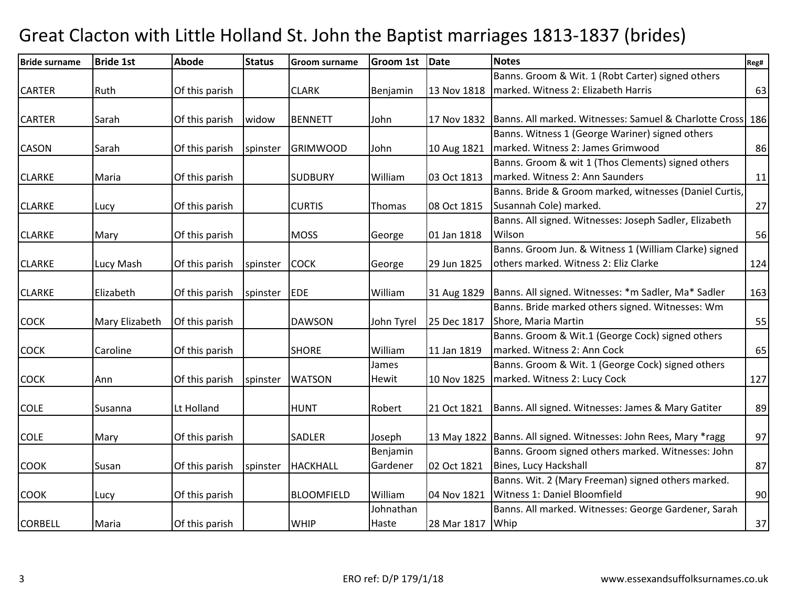| <b>Bride surname</b> | <b>Bride 1st</b> | <b>Abode</b>   | <b>Status</b> | <b>Groom surname</b> | <b>Groom 1st</b> | <b>Date</b>      | <b>Notes</b>                                                      | Reg# |
|----------------------|------------------|----------------|---------------|----------------------|------------------|------------------|-------------------------------------------------------------------|------|
|                      |                  |                |               |                      |                  |                  | Banns. Groom & Wit. 1 (Robt Carter) signed others                 |      |
| <b>CARTER</b>        | Ruth             | Of this parish |               | <b>CLARK</b>         | Benjamin         | 13 Nov 1818      | marked. Witness 2: Elizabeth Harris                               | 63   |
|                      |                  |                |               |                      |                  |                  |                                                                   |      |
| <b>CARTER</b>        | Sarah            | Of this parish | widow         | <b>BENNETT</b>       | John             | 17 Nov 1832      | Banns. All marked. Witnesses: Samuel & Charlotte Cross 186        |      |
|                      |                  |                |               |                      |                  |                  | Banns. Witness 1 (George Wariner) signed others                   |      |
| <b>CASON</b>         | Sarah            | Of this parish | spinster      | <b>GRIMWOOD</b>      | John             | 10 Aug 1821      | marked. Witness 2: James Grimwood                                 | 86   |
|                      |                  |                |               |                      |                  |                  | Banns. Groom & wit 1 (Thos Clements) signed others                |      |
| <b>CLARKE</b>        | Maria            | Of this parish |               | <b>SUDBURY</b>       | William          | 03 Oct 1813      | marked. Witness 2: Ann Saunders                                   | 11   |
|                      |                  |                |               |                      |                  |                  | Banns. Bride & Groom marked, witnesses (Daniel Curtis,            |      |
| <b>CLARKE</b>        | Lucy             | Of this parish |               | <b>CURTIS</b>        | Thomas           | 08 Oct 1815      | Susannah Cole) marked.                                            | 27   |
|                      |                  |                |               |                      |                  |                  | Banns. All signed. Witnesses: Joseph Sadler, Elizabeth            |      |
| <b>CLARKE</b>        | Mary             | Of this parish |               | <b>MOSS</b>          | George           | 01 Jan 1818      | Wilson                                                            | 56   |
|                      |                  |                |               |                      |                  |                  | Banns. Groom Jun. & Witness 1 (William Clarke) signed             |      |
| <b>CLARKE</b>        | Lucy Mash        | Of this parish | spinster      | <b>COCK</b>          | George           | 29 Jun 1825      | others marked. Witness 2: Eliz Clarke                             | 124  |
|                      |                  |                |               |                      |                  |                  |                                                                   |      |
| <b>CLARKE</b>        | Elizabeth        | Of this parish | spinster      | EDE                  | William          | 31 Aug 1829      | Banns. All signed. Witnesses: *m Sadler, Ma* Sadler               | 163  |
|                      |                  |                |               |                      |                  |                  | Banns. Bride marked others signed. Witnesses: Wm                  |      |
| <b>COCK</b>          | Mary Elizabeth   | Of this parish |               | <b>DAWSON</b>        | John Tyrel       | 25 Dec 1817      | Shore, Maria Martin                                               | 55   |
|                      |                  |                |               |                      |                  |                  | Banns. Groom & Wit.1 (George Cock) signed others                  |      |
| <b>COCK</b>          | Caroline         | Of this parish |               | <b>SHORE</b>         | William          | 11 Jan 1819      | marked. Witness 2: Ann Cock                                       | 65   |
|                      |                  |                |               |                      | James            |                  | Banns. Groom & Wit. 1 (George Cock) signed others                 |      |
| COCK                 | Ann              | Of this parish | spinster      | <b>WATSON</b>        | Hewit            | 10 Nov 1825      | marked. Witness 2: Lucy Cock                                      | 127  |
|                      |                  |                |               |                      |                  |                  |                                                                   |      |
| <b>COLE</b>          | Susanna          | Lt Holland     |               | <b>HUNT</b>          | Robert           | 21 Oct 1821      | Banns. All signed. Witnesses: James & Mary Gatiter                | 89   |
|                      |                  |                |               |                      |                  |                  |                                                                   |      |
| <b>COLE</b>          | Mary             | Of this parish |               | <b>SADLER</b>        | Joseph           |                  | 13 May 1822   Banns. All signed. Witnesses: John Rees, Mary *ragg | 97   |
|                      |                  |                |               |                      | Benjamin         |                  | Banns. Groom signed others marked. Witnesses: John                |      |
| <b>COOK</b>          | Susan            | Of this parish | spinster      | <b>HACKHALL</b>      | Gardener         | 02 Oct 1821      | Bines, Lucy Hackshall                                             | 87   |
|                      |                  |                |               |                      |                  |                  | Banns. Wit. 2 (Mary Freeman) signed others marked.                |      |
| <b>COOK</b>          | Lucy             | Of this parish |               | <b>BLOOMFIELD</b>    | William          | 04 Nov 1821      | Witness 1: Daniel Bloomfield                                      | 90   |
|                      |                  |                |               |                      | Johnathan        |                  | Banns. All marked. Witnesses: George Gardener, Sarah              |      |
| <b>CORBELL</b>       | Maria            | Of this parish |               | <b>WHIP</b>          | Haste            | 28 Mar 1817 Whip |                                                                   | 37   |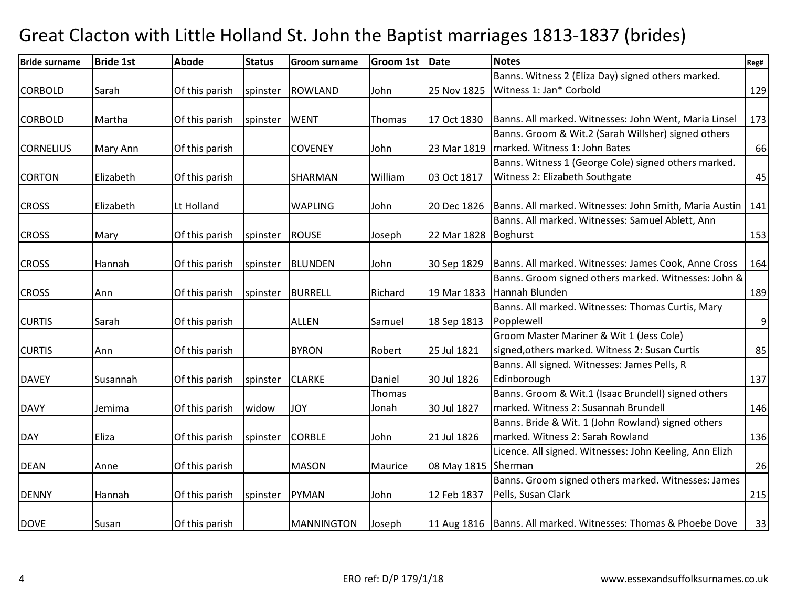| <b>Bride surname</b> | <b>Bride 1st</b> | <b>Abode</b>   | <b>Status</b> | <b>Groom surname</b> | <b>Groom 1st</b> | <b>Date</b>         | <b>Notes</b>                                                     | Reg#           |
|----------------------|------------------|----------------|---------------|----------------------|------------------|---------------------|------------------------------------------------------------------|----------------|
|                      |                  |                |               |                      |                  |                     | Banns. Witness 2 (Eliza Day) signed others marked.               |                |
| <b>CORBOLD</b>       | Sarah            | Of this parish | spinster      | <b>ROWLAND</b>       | John             | 25 Nov 1825         | Witness 1: Jan* Corbold                                          | 129            |
|                      |                  |                |               |                      |                  |                     |                                                                  |                |
| <b>CORBOLD</b>       | Martha           | Of this parish | spinster      | <b>WENT</b>          | Thomas           | 17 Oct 1830         | Banns. All marked. Witnesses: John Went, Maria Linsel            | 173            |
|                      |                  |                |               |                      |                  |                     | Banns. Groom & Wit.2 (Sarah Willsher) signed others              |                |
| <b>CORNELIUS</b>     | Mary Ann         | Of this parish |               | <b>COVENEY</b>       | John             | 23 Mar 1819         | marked. Witness 1: John Bates                                    | 66             |
|                      |                  |                |               |                      |                  |                     | Banns. Witness 1 (George Cole) signed others marked.             |                |
| <b>CORTON</b>        | Elizabeth        | Of this parish |               | <b>SHARMAN</b>       | William          | 03 Oct 1817         | Witness 2: Elizabeth Southgate                                   | 45             |
|                      |                  |                |               |                      |                  |                     |                                                                  |                |
| <b>CROSS</b>         | Elizabeth        | Lt Holland     |               | <b>WAPLING</b>       | John             | 20 Dec 1826         | Banns. All marked. Witnesses: John Smith, Maria Austin   141     |                |
|                      |                  |                |               |                      |                  |                     | Banns. All marked. Witnesses: Samuel Ablett, Ann                 |                |
| <b>CROSS</b>         | Mary             | Of this parish | spinster      | <b>ROUSE</b>         | Joseph           | 22 Mar 1828         | Boghurst                                                         | 153            |
|                      |                  |                |               |                      |                  |                     |                                                                  |                |
| <b>CROSS</b>         | Hannah           | Of this parish | spinster      | <b>BLUNDEN</b>       | John             | 30 Sep 1829         | Banns. All marked. Witnesses: James Cook, Anne Cross             | 164            |
|                      |                  |                |               |                      |                  |                     | Banns. Groom signed others marked. Witnesses: John &             |                |
| <b>CROSS</b>         | Ann              | Of this parish | spinster      | <b>BURRELL</b>       | Richard          | 19 Mar 1833         | Hannah Blunden                                                   | 189            |
|                      |                  |                |               |                      |                  |                     | Banns. All marked. Witnesses: Thomas Curtis, Mary                |                |
| <b>CURTIS</b>        | Sarah            | Of this parish |               | <b>ALLEN</b>         | Samuel           | 18 Sep 1813         | Popplewell                                                       | $\overline{9}$ |
|                      |                  |                |               |                      |                  |                     | Groom Master Mariner & Wit 1 (Jess Cole)                         |                |
| <b>CURTIS</b>        | Ann              | Of this parish |               | <b>BYRON</b>         | Robert           | 25 Jul 1821         | signed, others marked. Witness 2: Susan Curtis                   | 85             |
|                      |                  |                |               |                      |                  |                     | Banns. All signed. Witnesses: James Pells, R                     |                |
| <b>DAVEY</b>         | Susannah         | Of this parish | spinster      | <b>CLARKE</b>        | Daniel           | 30 Jul 1826         | Edinborough                                                      | 137            |
|                      |                  |                |               |                      | Thomas           |                     | Banns. Groom & Wit.1 (Isaac Brundell) signed others              |                |
| <b>DAVY</b>          | Jemima           | Of this parish | widow         | <b>JOY</b>           | Jonah            | 30 Jul 1827         | marked. Witness 2: Susannah Brundell                             | 146            |
|                      |                  |                |               |                      |                  |                     | Banns. Bride & Wit. 1 (John Rowland) signed others               |                |
| <b>DAY</b>           | Eliza            | Of this parish | spinster      | <b>CORBLE</b>        | John             | 21 Jul 1826         | marked. Witness 2: Sarah Rowland                                 | 136            |
|                      |                  |                |               |                      |                  |                     | Licence. All signed. Witnesses: John Keeling, Ann Elizh          |                |
| <b>DEAN</b>          | Anne             | Of this parish |               | <b>MASON</b>         | Maurice          | 08 May 1815 Sherman |                                                                  | 26             |
|                      |                  |                |               |                      |                  |                     | Banns. Groom signed others marked. Witnesses: James              |                |
| <b>DENNY</b>         | Hannah           | Of this parish | spinster      | PYMAN                | John             | 12 Feb 1837         | Pells, Susan Clark                                               | 215            |
|                      |                  |                |               |                      |                  |                     |                                                                  |                |
| <b>DOVE</b>          | Susan            | Of this parish |               | MANNINGTON           | Joseph           |                     | 11 Aug 1816   Banns. All marked. Witnesses: Thomas & Phoebe Dove | 33             |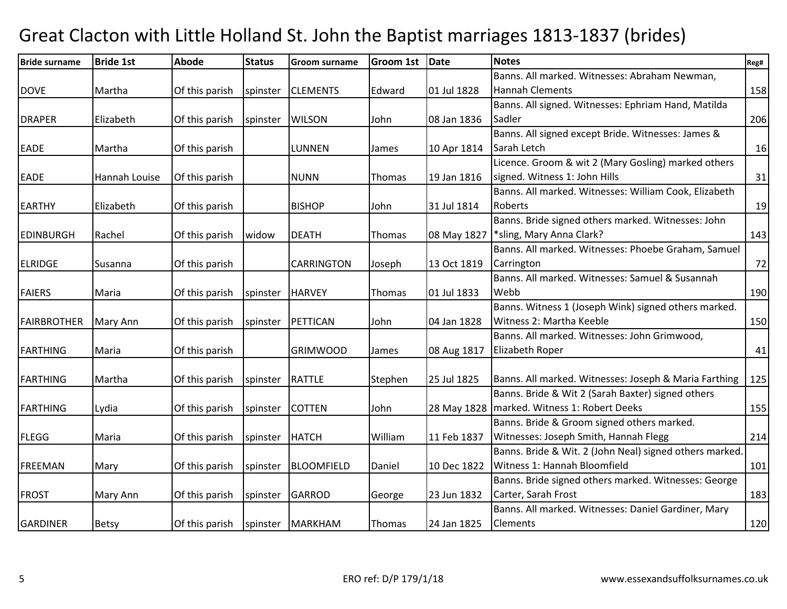| <b>Bride surname</b> | <b>Bride 1st</b> | <b>Abode</b>   | <b>Status</b> | <b>Groom surname</b> | Groom 1st | Date        | <b>Notes</b>                                            | Reg# |
|----------------------|------------------|----------------|---------------|----------------------|-----------|-------------|---------------------------------------------------------|------|
|                      |                  |                |               |                      |           |             | Banns. All marked. Witnesses: Abraham Newman,           |      |
| <b>DOVE</b>          | Martha           | Of this parish | spinster      | <b>CLEMENTS</b>      | Edward    | 01 Jul 1828 | <b>Hannah Clements</b>                                  | 158  |
|                      |                  |                |               |                      |           |             | Banns. All signed. Witnesses: Ephriam Hand, Matilda     |      |
| <b>DRAPER</b>        | Elizabeth        | Of this parish | spinster      | <b>WILSON</b>        | John      | 08 Jan 1836 | Sadler                                                  | 206  |
|                      |                  |                |               |                      |           |             | Banns. All signed except Bride. Witnesses: James &      |      |
| <b>EADE</b>          | Martha           | Of this parish |               | <b>LUNNEN</b>        | James     | 10 Apr 1814 | Sarah Letch                                             | 16   |
|                      |                  |                |               |                      |           |             | Licence. Groom & wit 2 (Mary Gosling) marked others     |      |
| <b>EADE</b>          | Hannah Louise    | Of this parish |               | <b>NUNN</b>          | Thomas    | 19 Jan 1816 | signed. Witness 1: John Hills                           | 31   |
|                      |                  |                |               |                      |           |             | Banns. All marked. Witnesses: William Cook, Elizabeth   |      |
| <b>EARTHY</b>        | Elizabeth        | Of this parish |               | <b>BISHOP</b>        | John      | 31 Jul 1814 | Roberts                                                 | 19   |
|                      |                  |                |               |                      |           |             | Banns. Bride signed others marked. Witnesses: John      |      |
| <b>EDINBURGH</b>     | Rachel           | Of this parish | widow         | <b>DEATH</b>         | Thomas    | 08 May 1827 | *sling, Mary Anna Clark?                                | 143  |
|                      |                  |                |               |                      |           |             | Banns. All marked. Witnesses: Phoebe Graham, Samuel     |      |
| <b>ELRIDGE</b>       | Susanna          | Of this parish |               | <b>CARRINGTON</b>    | Joseph    | 13 Oct 1819 | Carrington                                              | 72   |
|                      |                  |                |               |                      |           |             | Banns. All marked. Witnesses: Samuel & Susannah         |      |
| <b>FAIERS</b>        | Maria            | Of this parish | spinster      | <b>HARVEY</b>        | Thomas    | 01 Jul 1833 | Webb                                                    | 190  |
|                      |                  |                |               |                      |           |             | Banns. Witness 1 (Joseph Wink) signed others marked.    |      |
| <b>FAIRBROTHER</b>   | Mary Ann         | Of this parish | spinster      | <b>PETTICAN</b>      | John      | 04 Jan 1828 | Witness 2: Martha Keeble                                | 150  |
|                      |                  |                |               |                      |           |             | Banns. All marked. Witnesses: John Grimwood,            |      |
| FARTHING             | Maria            | Of this parish |               | <b>GRIMWOOD</b>      | James     | 08 Aug 1817 | Elizabeth Roper                                         | 41   |
|                      |                  |                |               |                      |           |             |                                                         |      |
| <b>FARTHING</b>      | Martha           | Of this parish | spinster      | <b>RATTLE</b>        | Stephen   | 25 Jul 1825 | Banns. All marked. Witnesses: Joseph & Maria Farthing   | 125  |
|                      |                  |                |               |                      |           |             | Banns. Bride & Wit 2 (Sarah Baxter) signed others       |      |
| <b>FARTHING</b>      | Lydia            | Of this parish | spinster      | <b>COTTEN</b>        | John      |             | 28 May 1828   marked. Witness 1: Robert Deeks           | 155  |
|                      |                  |                |               |                      |           |             | Banns. Bride & Groom signed others marked.              |      |
| <b>FLEGG</b>         | Maria            | Of this parish | spinster      | <b>HATCH</b>         | William   | 11 Feb 1837 | Witnesses: Joseph Smith, Hannah Flegg                   | 214  |
|                      |                  |                |               |                      |           |             | Banns. Bride & Wit. 2 (John Neal) signed others marked. |      |
| <b>FREEMAN</b>       | Mary             | Of this parish | spinster      | <b>BLOOMFIELD</b>    | Daniel    | 10 Dec 1822 | Witness 1: Hannah Bloomfield                            | 101  |
|                      |                  |                |               |                      |           |             | Banns. Bride signed others marked. Witnesses: George    |      |
| <b>FROST</b>         | Mary Ann         | Of this parish | spinster      | GARROD               | George    | 23 Jun 1832 | Carter, Sarah Frost                                     | 183  |
|                      |                  |                |               |                      |           |             | Banns. All marked. Witnesses: Daniel Gardiner, Mary     |      |
| <b>GARDINER</b>      | <b>Betsy</b>     | Of this parish |               | spinster   MARKHAM   | Thomas    | 24 Jan 1825 | <b>Clements</b>                                         | 120  |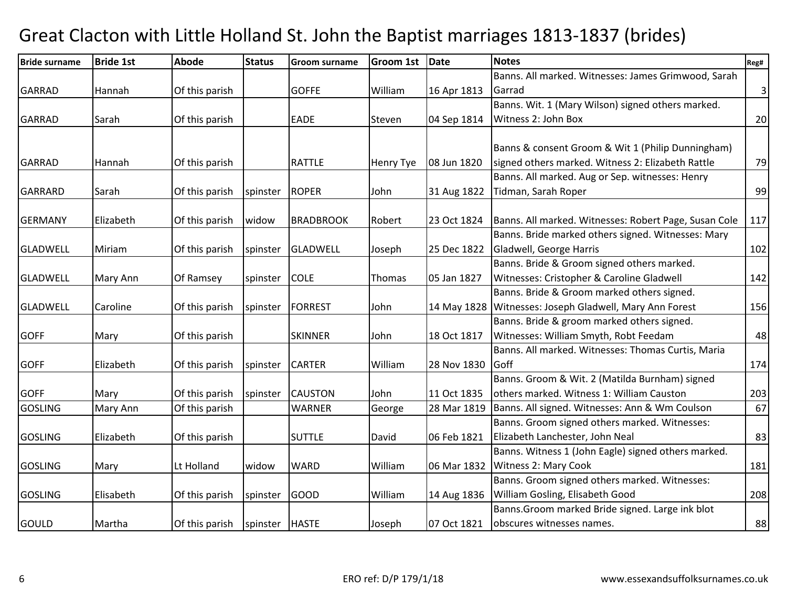| <b>Bride surname</b> | <b>Bride 1st</b> | <b>Abode</b>   | <b>Status</b> | <b>Groom surname</b> | <b>Groom 1st</b> | Date        | <b>Notes</b>                                            | Reg#        |
|----------------------|------------------|----------------|---------------|----------------------|------------------|-------------|---------------------------------------------------------|-------------|
|                      |                  |                |               |                      |                  |             | Banns. All marked. Witnesses: James Grimwood, Sarah     |             |
| <b>GARRAD</b>        | Hannah           | Of this parish |               | <b>GOFFE</b>         | William          | 16 Apr 1813 | Garrad                                                  | $\mathsf 3$ |
|                      |                  |                |               |                      |                  |             | Banns. Wit. 1 (Mary Wilson) signed others marked.       |             |
| <b>GARRAD</b>        | Sarah            | Of this parish |               | EADE                 | Steven           | 04 Sep 1814 | Witness 2: John Box                                     | 20          |
|                      |                  |                |               |                      |                  |             |                                                         |             |
|                      |                  |                |               |                      |                  |             | Banns & consent Groom & Wit 1 (Philip Dunningham)       |             |
| <b>GARRAD</b>        | Hannah           | Of this parish |               | <b>RATTLE</b>        | Henry Tye        | 08 Jun 1820 | signed others marked. Witness 2: Elizabeth Rattle       | 79          |
|                      |                  |                |               |                      |                  |             | Banns. All marked. Aug or Sep. witnesses: Henry         |             |
| <b>GARRARD</b>       | Sarah            | Of this parish | spinster      | <b>ROPER</b>         | John             | 31 Aug 1822 | Tidman, Sarah Roper                                     | 99          |
|                      |                  |                |               |                      |                  |             |                                                         |             |
| <b>GERMANY</b>       | Elizabeth        | Of this parish | widow         | <b>BRADBROOK</b>     | Robert           | 23 Oct 1824 | Banns. All marked. Witnesses: Robert Page, Susan Cole   | 117         |
|                      |                  |                |               |                      |                  |             | Banns. Bride marked others signed. Witnesses: Mary      |             |
| <b>GLADWELL</b>      | Miriam           | Of this parish | spinster      | <b>GLADWELL</b>      | Joseph           | 25 Dec 1822 | Gladwell, George Harris                                 | 102         |
|                      |                  |                |               |                      |                  |             | Banns. Bride & Groom signed others marked.              |             |
| <b>GLADWELL</b>      | Mary Ann         | Of Ramsey      | spinster      | <b>COLE</b>          | Thomas           | 05 Jan 1827 | Witnesses: Cristopher & Caroline Gladwell               | 142         |
|                      |                  |                |               |                      |                  |             | Banns. Bride & Groom marked others signed.              |             |
| <b>GLADWELL</b>      | Caroline         | Of this parish | spinster      | <b>FORREST</b>       | John             |             | 14 May 1828 Witnesses: Joseph Gladwell, Mary Ann Forest | 156         |
|                      |                  |                |               |                      |                  |             | Banns. Bride & groom marked others signed.              |             |
| <b>GOFF</b>          | Mary             | Of this parish |               | <b>SKINNER</b>       | John             | 18 Oct 1817 | Witnesses: William Smyth, Robt Feedam                   | 48          |
|                      |                  |                |               |                      |                  |             | Banns. All marked. Witnesses: Thomas Curtis, Maria      |             |
| <b>GOFF</b>          | Elizabeth        | Of this parish | spinster      | <b>CARTER</b>        | William          | 28 Nov 1830 | Goff                                                    | 174         |
|                      |                  |                |               |                      |                  |             | Banns. Groom & Wit. 2 (Matilda Burnham) signed          |             |
| <b>GOFF</b>          | Mary             | Of this parish | spinster      | <b>CAUSTON</b>       | John             | 11 Oct 1835 | others marked. Witness 1: William Causton               | 203         |
| <b>GOSLING</b>       | Mary Ann         | Of this parish |               | <b>WARNER</b>        | George           | 28 Mar 1819 | Banns. All signed. Witnesses: Ann & Wm Coulson          | 67          |
|                      |                  |                |               |                      |                  |             | Banns. Groom signed others marked. Witnesses:           |             |
| <b>GOSLING</b>       | Elizabeth        | Of this parish |               | <b>SUTTLE</b>        | David            | 06 Feb 1821 | Elizabeth Lanchester, John Neal                         | 83          |
|                      |                  |                |               |                      |                  |             | Banns. Witness 1 (John Eagle) signed others marked.     |             |
| <b>GOSLING</b>       | Mary             | Lt Holland     | widow         | <b>WARD</b>          | William          | 06 Mar 1832 | Witness 2: Mary Cook                                    | 181         |
|                      |                  |                |               |                      |                  |             | Banns. Groom signed others marked. Witnesses:           |             |
| <b>GOSLING</b>       | Elisabeth        | Of this parish | spinster      | <b>GOOD</b>          | William          | 14 Aug 1836 | William Gosling, Elisabeth Good                         | 208         |
|                      |                  |                |               |                      |                  |             | Banns. Groom marked Bride signed. Large ink blot        |             |
| GOULD                | Martha           | Of this parish | spinster      | <b>HASTE</b>         | Joseph           | 07 Oct 1821 | obscures witnesses names.                               | 88          |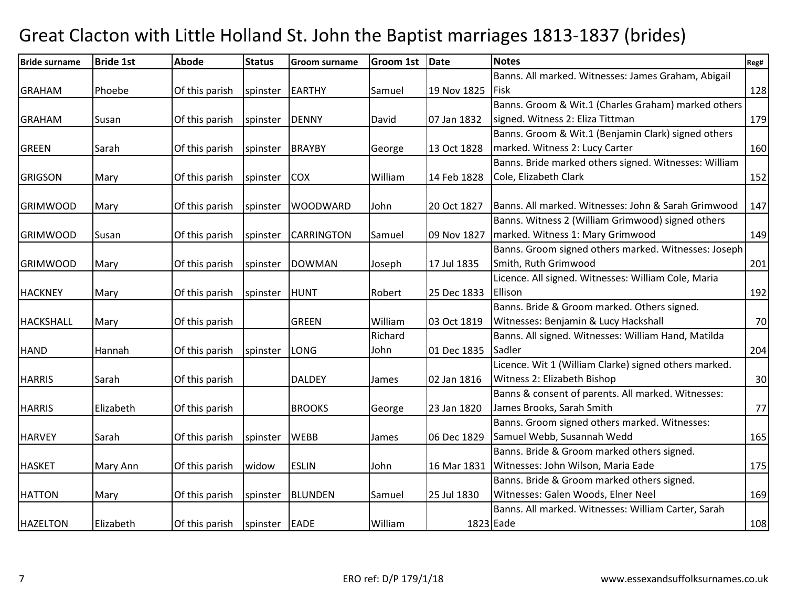| <b>Bride surname</b> | <b>Bride 1st</b> | <b>Abode</b>   | <b>Status</b> | <b>Groom surname</b> | <b>Groom 1st</b> | Date        | <b>Notes</b>                                          | Reg# |
|----------------------|------------------|----------------|---------------|----------------------|------------------|-------------|-------------------------------------------------------|------|
|                      |                  |                |               |                      |                  |             | Banns. All marked. Witnesses: James Graham, Abigail   |      |
| <b>GRAHAM</b>        | Phoebe           | Of this parish | spinster      | EARTHY               | Samuel           | 19 Nov 1825 | <b>Fisk</b>                                           | 128  |
|                      |                  |                |               |                      |                  |             | Banns. Groom & Wit.1 (Charles Graham) marked others   |      |
| <b>GRAHAM</b>        | Susan            | Of this parish | spinster      | <b>DENNY</b>         | David            | 07 Jan 1832 | signed. Witness 2: Eliza Tittman                      | 179  |
|                      |                  |                |               |                      |                  |             | Banns. Groom & Wit.1 (Benjamin Clark) signed others   |      |
| <b>GREEN</b>         | Sarah            | Of this parish | spinster      | BRAYBY               | George           | 13 Oct 1828 | marked. Witness 2: Lucy Carter                        | 160  |
|                      |                  |                |               |                      |                  |             | Banns. Bride marked others signed. Witnesses: William |      |
| <b>GRIGSON</b>       | Mary             | Of this parish | spinster      | <b>COX</b>           | William          | 14 Feb 1828 | Cole, Elizabeth Clark                                 | 152  |
| <b>GRIMWOOD</b>      | Mary             | Of this parish | spinster      | <b>WOODWARD</b>      | John             | 20 Oct 1827 | Banns. All marked. Witnesses: John & Sarah Grimwood   | 147  |
|                      |                  |                |               |                      |                  |             | Banns. Witness 2 (William Grimwood) signed others     |      |
| <b>GRIMWOOD</b>      | Susan            | Of this parish | spinster      | <b>CARRINGTON</b>    | Samuel           | 09 Nov 1827 | marked. Witness 1: Mary Grimwood                      | 149  |
|                      |                  |                |               |                      |                  |             | Banns. Groom signed others marked. Witnesses: Joseph  |      |
| <b>GRIMWOOD</b>      | Mary             | Of this parish | spinster      | <b>DOWMAN</b>        | Joseph           | 17 Jul 1835 | Smith, Ruth Grimwood                                  | 201  |
|                      |                  |                |               |                      |                  |             | Licence. All signed. Witnesses: William Cole, Maria   |      |
| <b>HACKNEY</b>       | Mary             | Of this parish | spinster      | HUNT                 | Robert           | 25 Dec 1833 | Ellison                                               | 192  |
|                      |                  |                |               |                      |                  |             | Banns. Bride & Groom marked. Others signed.           |      |
| <b>HACKSHALL</b>     | Mary             | Of this parish |               | <b>GREEN</b>         | William          | 03 Oct 1819 | Witnesses: Benjamin & Lucy Hackshall                  | 70   |
|                      |                  |                |               |                      | Richard          |             | Banns. All signed. Witnesses: William Hand, Matilda   |      |
| <b>HAND</b>          | Hannah           | Of this parish | spinster      | <b>LONG</b>          | John             | 01 Dec 1835 | Sadler                                                | 204  |
|                      |                  |                |               |                      |                  |             | Licence. Wit 1 (William Clarke) signed others marked. |      |
| <b>HARRIS</b>        | Sarah            | Of this parish |               | <b>DALDEY</b>        | James            | 02 Jan 1816 | Witness 2: Elizabeth Bishop                           | 30   |
|                      |                  |                |               |                      |                  |             | Banns & consent of parents. All marked. Witnesses:    |      |
| <b>HARRIS</b>        | Elizabeth        | Of this parish |               | <b>BROOKS</b>        | George           | 23 Jan 1820 | James Brooks, Sarah Smith                             | 77   |
|                      |                  |                |               |                      |                  |             | Banns. Groom signed others marked. Witnesses:         |      |
| <b>HARVEY</b>        | Sarah            | Of this parish | spinster      | <b>WEBB</b>          | James            | 06 Dec 1829 | Samuel Webb, Susannah Wedd                            | 165  |
|                      |                  |                |               |                      |                  |             | Banns. Bride & Groom marked others signed.            |      |
| <b>HASKET</b>        | Mary Ann         | Of this parish | widow         | <b>ESLIN</b>         | John             | 16 Mar 1831 | Witnesses: John Wilson, Maria Eade                    | 175  |
|                      |                  |                |               |                      |                  |             | Banns. Bride & Groom marked others signed.            |      |
| <b>HATTON</b>        | Mary             | Of this parish | spinster      | <b>BLUNDEN</b>       | Samuel           | 25 Jul 1830 | Witnesses: Galen Woods, Elner Neel                    | 169  |
|                      |                  |                |               |                      |                  |             | Banns. All marked. Witnesses: William Carter, Sarah   |      |
| <b>HAZELTON</b>      | Elizabeth        | Of this parish | spinster EADE |                      | William          |             | 1823 Eade                                             | 108  |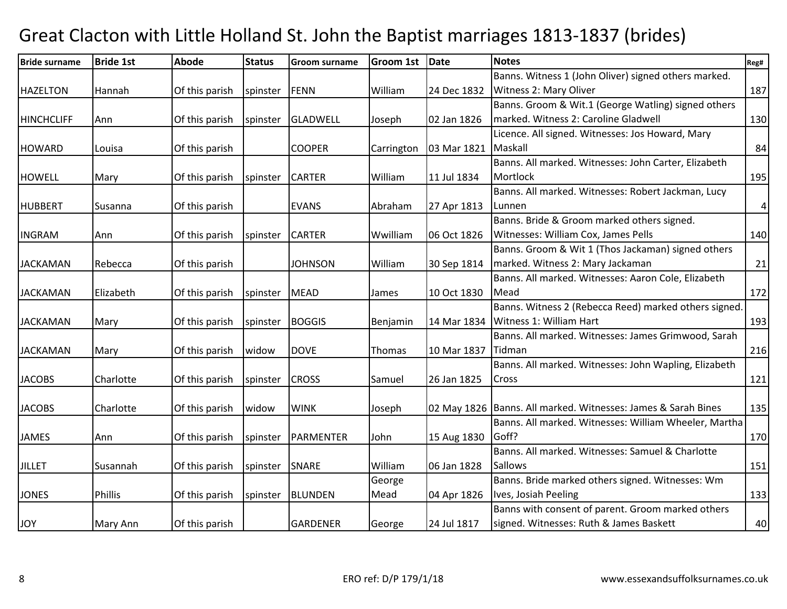| <b>Bride surname</b> | <b>Bride 1st</b> | <b>Abode</b>   | <b>Status</b> | <b>Groom surname</b> | <b>Groom 1st</b> | Date        | <b>Notes</b>                                                    | Reg#      |
|----------------------|------------------|----------------|---------------|----------------------|------------------|-------------|-----------------------------------------------------------------|-----------|
|                      |                  |                |               |                      |                  |             | Banns. Witness 1 (John Oliver) signed others marked.            |           |
| <b>HAZELTON</b>      | Hannah           | Of this parish | spinster      | <b>FENN</b>          | William          | 24 Dec 1832 | Witness 2: Mary Oliver                                          | 187       |
|                      |                  |                |               |                      |                  |             | Banns. Groom & Wit.1 (George Watling) signed others             |           |
| <b>HINCHCLIFF</b>    | Ann              | Of this parish | spinster      | <b>GLADWELL</b>      | Joseph           | 02 Jan 1826 | marked. Witness 2: Caroline Gladwell                            | 130       |
|                      |                  |                |               |                      |                  |             | Licence. All signed. Witnesses: Jos Howard, Mary                |           |
| <b>HOWARD</b>        | Louisa           | Of this parish |               | <b>COOPER</b>        | Carrington       | 03 Mar 1821 | Maskall                                                         | 84        |
|                      |                  |                |               |                      |                  |             | Banns. All marked. Witnesses: John Carter, Elizabeth            |           |
| <b>HOWELL</b>        | Mary             | Of this parish | spinster      | <b>CARTER</b>        | William          | 11 Jul 1834 | Mortlock                                                        | 195       |
|                      |                  |                |               |                      |                  |             | Banns. All marked. Witnesses: Robert Jackman, Lucy              |           |
| <b>HUBBERT</b>       | Susanna          | Of this parish |               | <b>EVANS</b>         | Abraham          | 27 Apr 1813 | Lunnen                                                          | $\pmb{4}$ |
|                      |                  |                |               |                      |                  |             | Banns. Bride & Groom marked others signed.                      |           |
| <b>INGRAM</b>        | Ann              | Of this parish | spinster      | <b>CARTER</b>        | Wwilliam         | 06 Oct 1826 | Witnesses: William Cox, James Pells                             | 140       |
|                      |                  |                |               |                      |                  |             | Banns. Groom & Wit 1 (Thos Jackaman) signed others              |           |
| <b>JACKAMAN</b>      | Rebecca          | Of this parish |               | <b>JOHNSON</b>       | William          | 30 Sep 1814 | marked. Witness 2: Mary Jackaman                                | 21        |
|                      |                  |                |               |                      |                  |             | Banns. All marked. Witnesses: Aaron Cole, Elizabeth             |           |
| <b>JACKAMAN</b>      | Elizabeth        | Of this parish | spinster      | <b>MEAD</b>          | James            | 10 Oct 1830 | Mead                                                            | 172       |
|                      |                  |                |               |                      |                  |             | Banns. Witness 2 (Rebecca Reed) marked others signed.           |           |
| <b>JACKAMAN</b>      | Mary             | Of this parish | spinster      | <b>BOGGIS</b>        | Benjamin         | 14 Mar 1834 | Witness 1: William Hart                                         | 193       |
|                      |                  |                |               |                      |                  |             | Banns. All marked. Witnesses: James Grimwood, Sarah             |           |
| <b>JACKAMAN</b>      | Mary             | Of this parish | widow         | <b>DOVE</b>          | Thomas           | 10 Mar 1837 | Tidman                                                          | 216       |
|                      |                  |                |               |                      |                  |             | Banns. All marked. Witnesses: John Wapling, Elizabeth           |           |
| <b>JACOBS</b>        | Charlotte        | Of this parish | spinster      | <b>CROSS</b>         | Samuel           | 26 Jan 1825 | Cross                                                           | 121       |
|                      |                  |                |               |                      |                  |             |                                                                 |           |
| <b>JACOBS</b>        | Charlotte        | Of this parish | widow         | <b>WINK</b>          | Joseph           |             | 02 May 1826   Banns. All marked. Witnesses: James & Sarah Bines | 135       |
|                      |                  |                |               |                      |                  |             | Banns. All marked. Witnesses: William Wheeler, Martha           |           |
| JAMES                | Ann              | Of this parish | spinster      | <b>PARMENTER</b>     | John             | 15 Aug 1830 | Goff?                                                           | 170       |
|                      |                  |                |               |                      |                  |             | Banns. All marked. Witnesses: Samuel & Charlotte                |           |
| <b>JILLET</b>        | Susannah         | Of this parish | spinster      | SNARE                | William          | 06 Jan 1828 | <b>Sallows</b>                                                  | 151       |
|                      |                  |                |               |                      | George           |             | Banns. Bride marked others signed. Witnesses: Wm                |           |
| <b>JONES</b>         | <b>Phillis</b>   | Of this parish | spinster      | <b>BLUNDEN</b>       | Mead             | 04 Apr 1826 | Ives, Josiah Peeling                                            | 133       |
|                      |                  |                |               |                      |                  |             | Banns with consent of parent. Groom marked others               |           |
| <b>JOY</b>           | Mary Ann         | Of this parish |               | <b>GARDENER</b>      | George           | 24 Jul 1817 | signed. Witnesses: Ruth & James Baskett                         | 40        |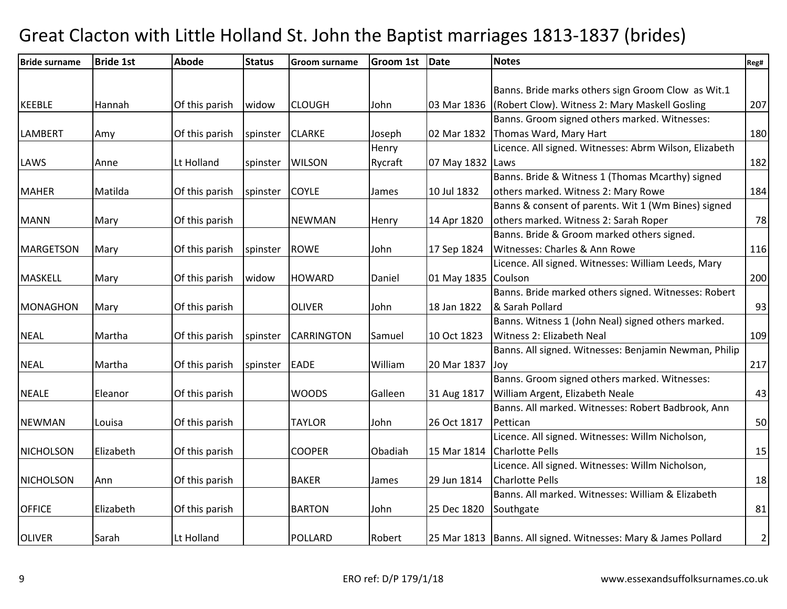| <b>Bride surname</b> | <b>Bride 1st</b> | <b>Abode</b>   | <b>Status</b> | <b>Groom surname</b> | <b>Groom 1st</b> | Date             | <b>Notes</b>                                                     | Reg#           |
|----------------------|------------------|----------------|---------------|----------------------|------------------|------------------|------------------------------------------------------------------|----------------|
|                      |                  |                |               |                      |                  |                  |                                                                  |                |
|                      |                  |                |               |                      |                  |                  | Banns. Bride marks others sign Groom Clow as Wit.1               |                |
| <b>KEEBLE</b>        | Hannah           | Of this parish | widow         | <b>CLOUGH</b>        | John             | 03 Mar 1836      | (Robert Clow). Witness 2: Mary Maskell Gosling                   | 207            |
|                      |                  |                |               |                      |                  |                  | Banns. Groom signed others marked. Witnesses:                    |                |
| <b>LAMBERT</b>       | Amy              | Of this parish | spinster      | <b>CLARKE</b>        | Joseph           | 02 Mar 1832      | Thomas Ward, Mary Hart                                           | 180            |
|                      |                  |                |               |                      | Henry            |                  | Licence. All signed. Witnesses: Abrm Wilson, Elizabeth           |                |
| LAWS                 | Anne             | Lt Holland     | spinster      | <b>WILSON</b>        | Rycraft          | 07 May 1832 Laws |                                                                  | 182            |
|                      |                  |                |               |                      |                  |                  | Banns. Bride & Witness 1 (Thomas Mcarthy) signed                 |                |
| <b>MAHER</b>         | Matilda          | Of this parish | spinster      | <b>COYLE</b>         | James            | 10 Jul 1832      | others marked. Witness 2: Mary Rowe                              | 184            |
|                      |                  |                |               |                      |                  |                  | Banns & consent of parents. Wit 1 (Wm Bines) signed              |                |
| <b>MANN</b>          | Mary             | Of this parish |               | <b>NEWMAN</b>        | Henry            | 14 Apr 1820      | others marked. Witness 2: Sarah Roper                            | 78             |
|                      |                  |                |               |                      |                  |                  | Banns. Bride & Groom marked others signed.                       |                |
| <b>MARGETSON</b>     | Mary             | Of this parish | spinster      | <b>ROWE</b>          | John             | 17 Sep 1824      | Witnesses: Charles & Ann Rowe                                    | 116            |
|                      |                  |                |               |                      |                  |                  | Licence. All signed. Witnesses: William Leeds, Mary              |                |
| <b>MASKELL</b>       | Mary             | Of this parish | widow         | <b>HOWARD</b>        | Daniel           | 01 May 1835      | Coulson                                                          | 200            |
|                      |                  |                |               |                      |                  |                  | Banns. Bride marked others signed. Witnesses: Robert             |                |
| <b>MONAGHON</b>      | Mary             | Of this parish |               | <b>OLIVER</b>        | John             | 18 Jan 1822      | & Sarah Pollard                                                  | 93             |
|                      |                  |                |               |                      |                  |                  | Banns. Witness 1 (John Neal) signed others marked.               |                |
| <b>NEAL</b>          | Martha           | Of this parish | spinster      | <b>CARRINGTON</b>    | Samuel           | 10 Oct 1823      | Witness 2: Elizabeth Neal                                        | 109            |
|                      |                  |                |               |                      |                  |                  | Banns. All signed. Witnesses: Benjamin Newman, Philip            |                |
| <b>NEAL</b>          | Martha           | Of this parish | spinster      | <b>EADE</b>          | William          | 20 Mar 1837      | Joy                                                              | 217            |
|                      |                  |                |               |                      |                  |                  | Banns. Groom signed others marked. Witnesses:                    |                |
| <b>NEALE</b>         | Eleanor          | Of this parish |               | <b>WOODS</b>         | Galleen          | 31 Aug 1817      | William Argent, Elizabeth Neale                                  | 43             |
|                      |                  |                |               |                      |                  |                  | Banns. All marked. Witnesses: Robert Badbrook, Ann               |                |
| <b>NEWMAN</b>        | Louisa           | Of this parish |               | <b>TAYLOR</b>        | John             | 26 Oct 1817      | Pettican                                                         | 50             |
|                      |                  |                |               |                      |                  |                  | Licence. All signed. Witnesses: Willm Nicholson,                 |                |
| <b>NICHOLSON</b>     | Elizabeth        | Of this parish |               | <b>COOPER</b>        | Obadiah          | 15 Mar 1814      | <b>Charlotte Pells</b>                                           | 15             |
|                      |                  |                |               |                      |                  |                  | Licence. All signed. Witnesses: Willm Nicholson,                 |                |
| <b>NICHOLSON</b>     | Ann              | Of this parish |               | <b>BAKER</b>         | James            | 29 Jun 1814      | <b>Charlotte Pells</b>                                           | 18             |
|                      |                  |                |               |                      |                  |                  | Banns. All marked. Witnesses: William & Elizabeth                |                |
| <b>OFFICE</b>        | Elizabeth        | Of this parish |               | <b>BARTON</b>        | John             | 25 Dec 1820      | Southgate                                                        | 81             |
|                      |                  |                |               |                      |                  |                  |                                                                  |                |
| <b>OLIVER</b>        | Sarah            | Lt Holland     |               | <b>POLLARD</b>       | Robert           |                  | 25 Mar 1813   Banns. All signed. Witnesses: Mary & James Pollard | $\overline{2}$ |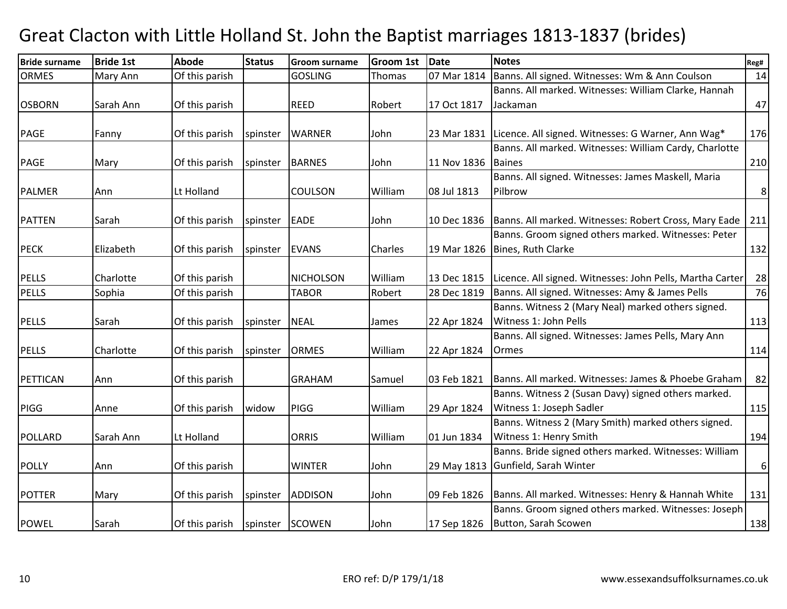| <b>Bride surname</b> | <b>Bride 1st</b> | <b>Abode</b>   | <b>Status</b> | <b>Groom surname</b> | <b>Groom 1st</b> | <b>Date</b> | <b>Notes</b>                                                   | Reg#             |
|----------------------|------------------|----------------|---------------|----------------------|------------------|-------------|----------------------------------------------------------------|------------------|
| <b>ORMES</b>         | Mary Ann         | Of this parish |               | <b>GOSLING</b>       | Thomas           | 07 Mar 1814 | Banns. All signed. Witnesses: Wm & Ann Coulson                 | 14               |
|                      |                  |                |               |                      |                  |             | Banns. All marked. Witnesses: William Clarke, Hannah           |                  |
| <b>OSBORN</b>        | Sarah Ann        | Of this parish |               | <b>REED</b>          | Robert           | 17 Oct 1817 | Jackaman                                                       | 47               |
|                      |                  |                |               |                      |                  |             |                                                                |                  |
| <b>PAGE</b>          | Fanny            | Of this parish | spinster      | <b>WARNER</b>        | John             |             | 23 Mar 1831 Licence. All signed. Witnesses: G Warner, Ann Wag* | 176              |
|                      |                  |                |               |                      |                  |             | Banns. All marked. Witnesses: William Cardy, Charlotte         |                  |
| <b>PAGE</b>          | Mary             | Of this parish | spinster      | <b>BARNES</b>        | John             | 11 Nov 1836 | <b>Baines</b>                                                  | 210              |
|                      |                  |                |               |                      |                  |             | Banns. All signed. Witnesses: James Maskell, Maria             |                  |
| <b>PALMER</b>        | Ann              | Lt Holland     |               | <b>COULSON</b>       | William          | 08 Jul 1813 | Pilbrow                                                        | $\bf 8$          |
|                      |                  |                |               |                      |                  |             |                                                                |                  |
| <b>PATTEN</b>        | Sarah            | Of this parish | spinster      | <b>EADE</b>          | John             | 10 Dec 1836 | Banns. All marked. Witnesses: Robert Cross, Mary Eade          | 211              |
|                      |                  |                |               |                      |                  |             | Banns. Groom signed others marked. Witnesses: Peter            |                  |
| <b>PECK</b>          | Elizabeth        | Of this parish | spinster      | <b>EVANS</b>         | Charles          | 19 Mar 1826 | Bines, Ruth Clarke                                             | 132              |
|                      |                  |                |               |                      |                  |             |                                                                |                  |
| <b>PELLS</b>         | Charlotte        | Of this parish |               | <b>NICHOLSON</b>     | William          | 13 Dec 1815 | Licence. All signed. Witnesses: John Pells, Martha Carter      | 28               |
| <b>PELLS</b>         | Sophia           | Of this parish |               | <b>TABOR</b>         | Robert           | 28 Dec 1819 | Banns. All signed. Witnesses: Amy & James Pells                | 76               |
|                      |                  |                |               |                      |                  |             | Banns. Witness 2 (Mary Neal) marked others signed.             |                  |
| <b>PELLS</b>         | Sarah            | Of this parish | spinster      | <b>NEAL</b>          | James            | 22 Apr 1824 | Witness 1: John Pells                                          | 113              |
|                      |                  |                |               |                      |                  |             | Banns. All signed. Witnesses: James Pells, Mary Ann            |                  |
| <b>PELLS</b>         | Charlotte        | Of this parish | spinster      | <b>ORMES</b>         | William          | 22 Apr 1824 | Ormes                                                          | 114              |
|                      |                  |                |               |                      |                  |             |                                                                |                  |
| PETTICAN             | Ann              | Of this parish |               | <b>GRAHAM</b>        | Samuel           | 03 Feb 1821 | Banns. All marked. Witnesses: James & Phoebe Graham            | 82               |
|                      |                  |                |               |                      |                  |             | Banns. Witness 2 (Susan Davy) signed others marked.            |                  |
| <b>PIGG</b>          | Anne             | Of this parish | widow         | <b>PIGG</b>          | William          | 29 Apr 1824 | Witness 1: Joseph Sadler                                       | 115              |
|                      |                  |                |               |                      |                  |             | Banns. Witness 2 (Mary Smith) marked others signed.            |                  |
| <b>POLLARD</b>       | Sarah Ann        | Lt Holland     |               | <b>ORRIS</b>         | William          | 01 Jun 1834 | Witness 1: Henry Smith                                         | 194              |
|                      |                  |                |               |                      |                  |             | Banns. Bride signed others marked. Witnesses: William          |                  |
| <b>POLLY</b>         | Ann              | Of this parish |               | <b>WINTER</b>        | John             |             | 29 May 1813 Gunfield, Sarah Winter                             | $\boldsymbol{6}$ |
|                      |                  |                |               |                      |                  |             |                                                                |                  |
| <b>POTTER</b>        | Mary             | Of this parish | spinster      | <b>ADDISON</b>       | John             | 09 Feb 1826 | Banns. All marked. Witnesses: Henry & Hannah White             | 131              |
|                      |                  |                |               |                      |                  |             | Banns. Groom signed others marked. Witnesses: Joseph           |                  |
| <b>POWEL</b>         | Sarah            | Of this parish | spinster      | SCOWEN               | John             | 17 Sep 1826 | Button, Sarah Scowen                                           | 138              |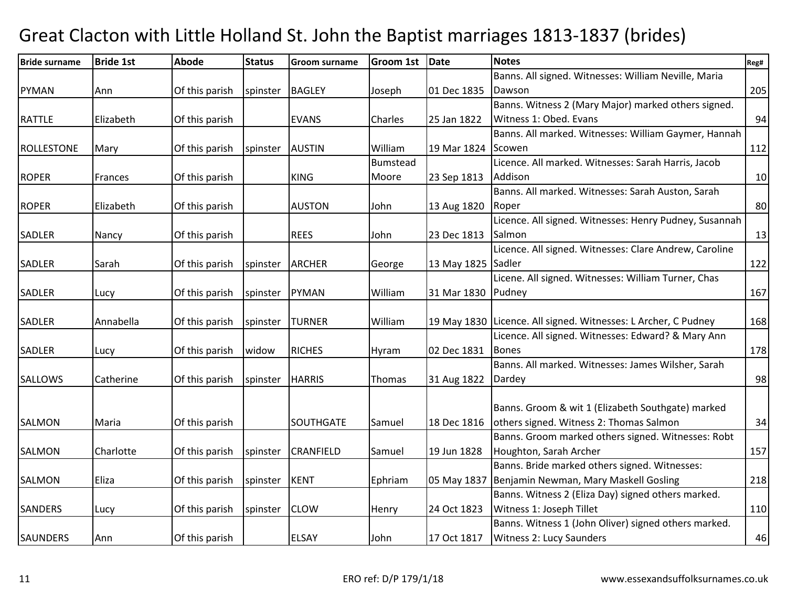| <b>Bride surname</b> | <b>Bride 1st</b> | <b>Abode</b>   | <b>Status</b> | <b>Groom surname</b> | <b>Groom 1st</b> | Date               | <b>Notes</b>                                                   | Reg# |
|----------------------|------------------|----------------|---------------|----------------------|------------------|--------------------|----------------------------------------------------------------|------|
|                      |                  |                |               |                      |                  |                    | Banns. All signed. Witnesses: William Neville, Maria           |      |
| <b>PYMAN</b>         | Ann              | Of this parish | spinster      | <b>BAGLEY</b>        | Joseph           | 01 Dec 1835        | Dawson                                                         | 205  |
|                      |                  |                |               |                      |                  |                    | Banns. Witness 2 (Mary Major) marked others signed.            |      |
| <b>RATTLE</b>        | Elizabeth        | Of this parish |               | <b>EVANS</b>         | Charles          | 25 Jan 1822        | Witness 1: Obed. Evans                                         | 94   |
|                      |                  |                |               |                      |                  |                    | Banns. All marked. Witnesses: William Gaymer, Hannah           |      |
| <b>ROLLESTONE</b>    | Mary             | Of this parish | spinster      | <b>AUSTIN</b>        | William          | 19 Mar 1824        | Scowen                                                         | 112  |
|                      |                  |                |               |                      | Bumstead         |                    | Licence. All marked. Witnesses: Sarah Harris, Jacob            |      |
| <b>ROPER</b>         | Frances          | Of this parish |               | <b>KING</b>          | Moore            | 23 Sep 1813        | Addison                                                        | 10   |
|                      |                  |                |               |                      |                  |                    | Banns. All marked. Witnesses: Sarah Auston, Sarah              |      |
| <b>ROPER</b>         | Elizabeth        | Of this parish |               | <b>AUSTON</b>        | John             | 13 Aug 1820        | Roper                                                          | 80   |
|                      |                  |                |               |                      |                  |                    | Licence. All signed. Witnesses: Henry Pudney, Susannah         |      |
| <b>SADLER</b>        | Nancy            | Of this parish |               | <b>REES</b>          | John             | 23 Dec 1813        | Salmon                                                         | 13   |
|                      |                  |                |               |                      |                  |                    | Licence. All signed. Witnesses: Clare Andrew, Caroline         |      |
| <b>SADLER</b>        | Sarah            | Of this parish | spinster      | <b>ARCHER</b>        | George           | 13 May 1825 Sadler |                                                                | 122  |
|                      |                  |                |               |                      |                  |                    | Licene. All signed. Witnesses: William Turner, Chas            |      |
| <b>SADLER</b>        | Lucy             | Of this parish | spinster      | <b>PYMAN</b>         | William          | 31 Mar 1830        | Pudney                                                         | 167  |
|                      |                  |                |               |                      |                  |                    |                                                                |      |
| <b>SADLER</b>        | Annabella        | Of this parish | spinster      | <b>TURNER</b>        | William          |                    | 19 May 1830 Licence. All signed. Witnesses: L Archer, C Pudney | 168  |
|                      |                  |                |               |                      |                  |                    | Licence. All signed. Witnesses: Edward? & Mary Ann             |      |
| <b>SADLER</b>        | Lucy             | Of this parish | widow         | <b>RICHES</b>        | Hyram            | 02 Dec 1831        | <b>Bones</b>                                                   | 178  |
|                      |                  |                |               |                      |                  |                    | Banns. All marked. Witnesses: James Wilsher, Sarah             |      |
| <b>SALLOWS</b>       | Catherine        | Of this parish | spinster      | <b>HARRIS</b>        | Thomas           | 31 Aug 1822        | Dardey                                                         | 98   |
|                      |                  |                |               |                      |                  |                    |                                                                |      |
|                      |                  |                |               |                      |                  |                    | Banns. Groom & wit 1 (Elizabeth Southgate) marked              |      |
| <b>SALMON</b>        | Maria            | Of this parish |               | SOUTHGATE            | Samuel           | 18 Dec 1816        | others signed. Witness 2: Thomas Salmon                        | 34   |
|                      |                  |                |               |                      |                  |                    | Banns. Groom marked others signed. Witnesses: Robt             |      |
| <b>SALMON</b>        | Charlotte        | Of this parish | spinster      | <b>CRANFIELD</b>     | Samuel           | 19 Jun 1828        | Houghton, Sarah Archer                                         | 157  |
|                      |                  |                |               |                      |                  |                    | Banns. Bride marked others signed. Witnesses:                  |      |
| <b>SALMON</b>        | Eliza            | Of this parish | spinster      | <b>KENT</b>          | Ephriam          | 05 May 1837        | Benjamin Newman, Mary Maskell Gosling                          | 218  |
|                      |                  |                |               |                      |                  |                    | Banns. Witness 2 (Eliza Day) signed others marked.             |      |
| <b>SANDERS</b>       | Lucy             | Of this parish | spinster      | <b>CLOW</b>          | Henry            | 24 Oct 1823        | Witness 1: Joseph Tillet                                       | 110  |
|                      |                  |                |               |                      |                  |                    | Banns. Witness 1 (John Oliver) signed others marked.           |      |
| <b>SAUNDERS</b>      | Ann              | Of this parish |               | <b>ELSAY</b>         | John             | 17 Oct 1817        | Witness 2: Lucy Saunders                                       | 46   |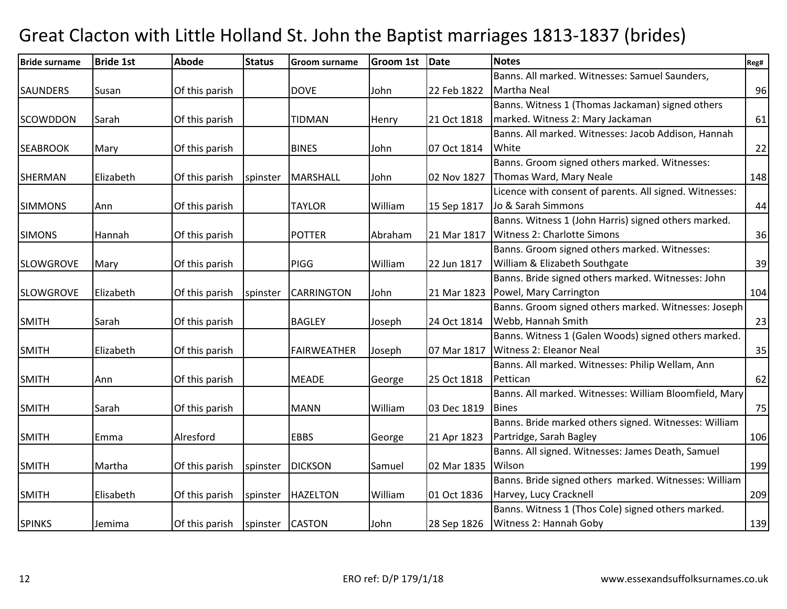| <b>Bride surname</b> | <b>Bride 1st</b> | <b>Abode</b>   | <b>Status</b>   | <b>Groom surname</b> | <b>Groom 1st</b> | Date        | <b>Notes</b>                                            | Reg# |
|----------------------|------------------|----------------|-----------------|----------------------|------------------|-------------|---------------------------------------------------------|------|
|                      |                  |                |                 |                      |                  |             | Banns. All marked. Witnesses: Samuel Saunders,          |      |
| <b>SAUNDERS</b>      | Susan            | Of this parish |                 | <b>DOVE</b>          | John             | 22 Feb 1822 | Martha Neal                                             | 96   |
|                      |                  |                |                 |                      |                  |             | Banns. Witness 1 (Thomas Jackaman) signed others        |      |
| <b>SCOWDDON</b>      | Sarah            | Of this parish |                 | <b>TIDMAN</b>        | Henry            | 21 Oct 1818 | marked. Witness 2: Mary Jackaman                        | 61   |
|                      |                  |                |                 |                      |                  |             | Banns. All marked. Witnesses: Jacob Addison, Hannah     |      |
| <b>SEABROOK</b>      | Mary             | Of this parish |                 | <b>BINES</b>         | John             | 07 Oct 1814 | White                                                   | 22   |
|                      |                  |                |                 |                      |                  |             | Banns. Groom signed others marked. Witnesses:           |      |
| <b>SHERMAN</b>       | Elizabeth        | Of this parish | spinster        | <b>MARSHALL</b>      | John             | 02 Nov 1827 | Thomas Ward, Mary Neale                                 | 148  |
|                      |                  |                |                 |                      |                  |             | Licence with consent of parents. All signed. Witnesses: |      |
| <b>SIMMONS</b>       | Ann              | Of this parish |                 | <b>TAYLOR</b>        | William          | 15 Sep 1817 | Jo & Sarah Simmons                                      | 44   |
|                      |                  |                |                 |                      |                  |             | Banns. Witness 1 (John Harris) signed others marked.    |      |
| <b>SIMONS</b>        | Hannah           | Of this parish |                 | <b>POTTER</b>        | Abraham          | 21 Mar 1817 | <b>Witness 2: Charlotte Simons</b>                      | 36   |
|                      |                  |                |                 |                      |                  |             | Banns. Groom signed others marked. Witnesses:           |      |
| <b>SLOWGROVE</b>     | Mary             | Of this parish |                 | <b>PIGG</b>          | William          | 22 Jun 1817 | William & Elizabeth Southgate                           | 39   |
|                      |                  |                |                 |                      |                  |             | Banns. Bride signed others marked. Witnesses: John      |      |
| <b>SLOWGROVE</b>     | Elizabeth        | Of this parish | spinster        | <b>CARRINGTON</b>    | John             | 21 Mar 1823 | Powel, Mary Carrington                                  | 104  |
|                      |                  |                |                 |                      |                  |             | Banns. Groom signed others marked. Witnesses: Joseph    |      |
| <b>SMITH</b>         | Sarah            | Of this parish |                 | <b>BAGLEY</b>        | Joseph           | 24 Oct 1814 | Webb, Hannah Smith                                      | 23   |
|                      |                  |                |                 |                      |                  |             | Banns. Witness 1 (Galen Woods) signed others marked.    |      |
| <b>SMITH</b>         | Elizabeth        | Of this parish |                 | <b>FAIRWEATHER</b>   | Joseph           | 07 Mar 1817 | Witness 2: Eleanor Neal                                 | 35   |
|                      |                  |                |                 |                      |                  |             | Banns. All marked. Witnesses: Philip Wellam, Ann        |      |
| <b>SMITH</b>         | Ann              | Of this parish |                 | <b>MEADE</b>         | George           | 25 Oct 1818 | Pettican                                                | 62   |
|                      |                  |                |                 |                      |                  |             | Banns. All marked. Witnesses: William Bloomfield, Mary  |      |
| <b>SMITH</b>         | Sarah            | Of this parish |                 | <b>MANN</b>          | William          | 03 Dec 1819 | <b>Bines</b>                                            | 75   |
|                      |                  |                |                 |                      |                  |             | Banns. Bride marked others signed. Witnesses: William   |      |
| <b>SMITH</b>         | Emma             | Alresford      |                 | <b>EBBS</b>          | George           | 21 Apr 1823 | Partridge, Sarah Bagley                                 | 106  |
|                      |                  |                |                 |                      |                  |             | Banns. All signed. Witnesses: James Death, Samuel       |      |
| <b>SMITH</b>         | Martha           | Of this parish | spinster        | <b>DICKSON</b>       | Samuel           | 02 Mar 1835 | Wilson                                                  | 199  |
|                      |                  |                |                 |                      |                  |             | Banns. Bride signed others marked. Witnesses: William   |      |
| <b>SMITH</b>         | Elisabeth        | Of this parish | spinster        | <b>HAZELTON</b>      | William          | 01 Oct 1836 | Harvey, Lucy Cracknell                                  | 209  |
|                      |                  |                |                 |                      |                  |             | Banns. Witness 1 (Thos Cole) signed others marked.      |      |
| <b>SPINKS</b>        | Jemima           | Of this parish | spinster CASTON |                      | John             | 28 Sep 1826 | Witness 2: Hannah Goby                                  | 139  |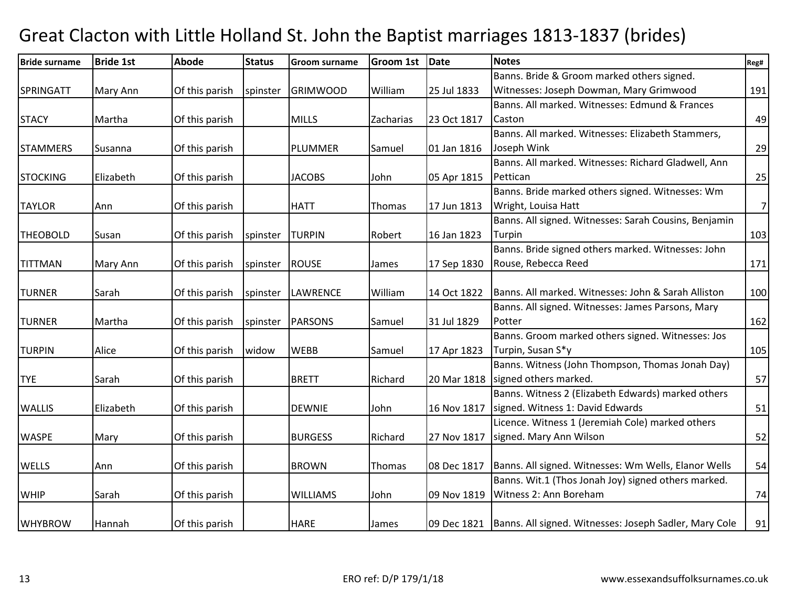| <b>Bride surname</b> | <b>Bride 1st</b> | Abode          | <b>Status</b> | <b>Groom surname</b> | <b>Groom 1st</b> | <b>Date</b> | <b>Notes</b>                                                         | Reg#           |
|----------------------|------------------|----------------|---------------|----------------------|------------------|-------------|----------------------------------------------------------------------|----------------|
|                      |                  |                |               |                      |                  |             | Banns. Bride & Groom marked others signed.                           |                |
| <b>SPRINGATT</b>     | Mary Ann         | Of this parish | spinster      | <b>GRIMWOOD</b>      | William          | 25 Jul 1833 | Witnesses: Joseph Dowman, Mary Grimwood                              | 191            |
|                      |                  |                |               |                      |                  |             | Banns. All marked. Witnesses: Edmund & Frances                       |                |
| <b>STACY</b>         | Martha           | Of this parish |               | <b>MILLS</b>         | Zacharias        | 23 Oct 1817 | Caston                                                               | 49             |
|                      |                  |                |               |                      |                  |             | Banns. All marked. Witnesses: Elizabeth Stammers,                    |                |
| <b>STAMMERS</b>      | <b>Susanna</b>   | Of this parish |               | <b>PLUMMER</b>       | Samuel           | 01 Jan 1816 | Joseph Wink                                                          | 29             |
|                      |                  |                |               |                      |                  |             | Banns. All marked. Witnesses: Richard Gladwell, Ann                  |                |
| <b>STOCKING</b>      | Elizabeth        | Of this parish |               | <b>JACOBS</b>        | John             | 05 Apr 1815 | Pettican                                                             | 25             |
|                      |                  |                |               |                      |                  |             | Banns. Bride marked others signed. Witnesses: Wm                     |                |
| <b>TAYLOR</b>        | Ann              | Of this parish |               | <b>HATT</b>          | Thomas           | 17 Jun 1813 | Wright, Louisa Hatt                                                  | $\overline{7}$ |
|                      |                  |                |               |                      |                  |             | Banns. All signed. Witnesses: Sarah Cousins, Benjamin                |                |
| <b>THEOBOLD</b>      | Susan            | Of this parish | spinster      | <b>TURPIN</b>        | Robert           | 16 Jan 1823 | Turpin                                                               | 103            |
|                      |                  |                |               |                      |                  |             | Banns. Bride signed others marked. Witnesses: John                   |                |
| <b>TITTMAN</b>       | Mary Ann         | Of this parish | spinster      | <b>ROUSE</b>         | James            | 17 Sep 1830 | Rouse, Rebecca Reed                                                  | 171            |
|                      |                  |                |               |                      |                  |             |                                                                      |                |
| <b>TURNER</b>        | Sarah            | Of this parish | spinster      | <b>LAWRENCE</b>      | William          | 14 Oct 1822 | Banns. All marked. Witnesses: John & Sarah Alliston                  | 100            |
|                      |                  |                |               |                      |                  |             | Banns. All signed. Witnesses: James Parsons, Mary                    |                |
| <b>TURNER</b>        | Martha           | Of this parish | spinster      | <b>PARSONS</b>       | Samuel           | 31 Jul 1829 | Potter                                                               | 162            |
|                      |                  |                |               |                      |                  |             | Banns. Groom marked others signed. Witnesses: Jos                    |                |
| <b>TURPIN</b>        | Alice            | Of this parish | widow         | <b>WEBB</b>          | Samuel           | 17 Apr 1823 | Turpin, Susan S*y                                                    | 105            |
|                      |                  |                |               |                      |                  |             | Banns. Witness (John Thompson, Thomas Jonah Day)                     |                |
| <b>TYE</b>           | Sarah            | Of this parish |               | <b>BRETT</b>         | Richard          | 20 Mar 1818 | signed others marked.                                                | 57             |
|                      |                  |                |               |                      |                  |             | Banns. Witness 2 (Elizabeth Edwards) marked others                   |                |
| <b>WALLIS</b>        | Elizabeth        | Of this parish |               | <b>DEWNIE</b>        | John             | 16 Nov 1817 | signed. Witness 1: David Edwards                                     | 51             |
|                      |                  |                |               |                      |                  |             | Licence. Witness 1 (Jeremiah Cole) marked others                     |                |
| <b>WASPE</b>         | Mary             | Of this parish |               | <b>BURGESS</b>       | Richard          | 27 Nov 1817 | signed. Mary Ann Wilson                                              | 52             |
|                      |                  |                |               |                      |                  |             |                                                                      |                |
| <b>WELLS</b>         | Ann              | Of this parish |               | <b>BROWN</b>         | Thomas           | 08 Dec 1817 | Banns. All signed. Witnesses: Wm Wells, Elanor Wells                 | 54             |
|                      |                  |                |               |                      |                  |             | Banns. Wit.1 (Thos Jonah Joy) signed others marked.                  |                |
| <b>WHIP</b>          | Sarah            | Of this parish |               | <b>WILLIAMS</b>      | John             | 09 Nov 1819 | Witness 2: Ann Boreham                                               | 74             |
|                      |                  |                |               |                      |                  |             |                                                                      |                |
| <b>WHYBROW</b>       | Hannah           | Of this parish |               | <b>HARE</b>          | James            |             | 09 Dec 1821   Banns. All signed. Witnesses: Joseph Sadler, Mary Cole | 91             |